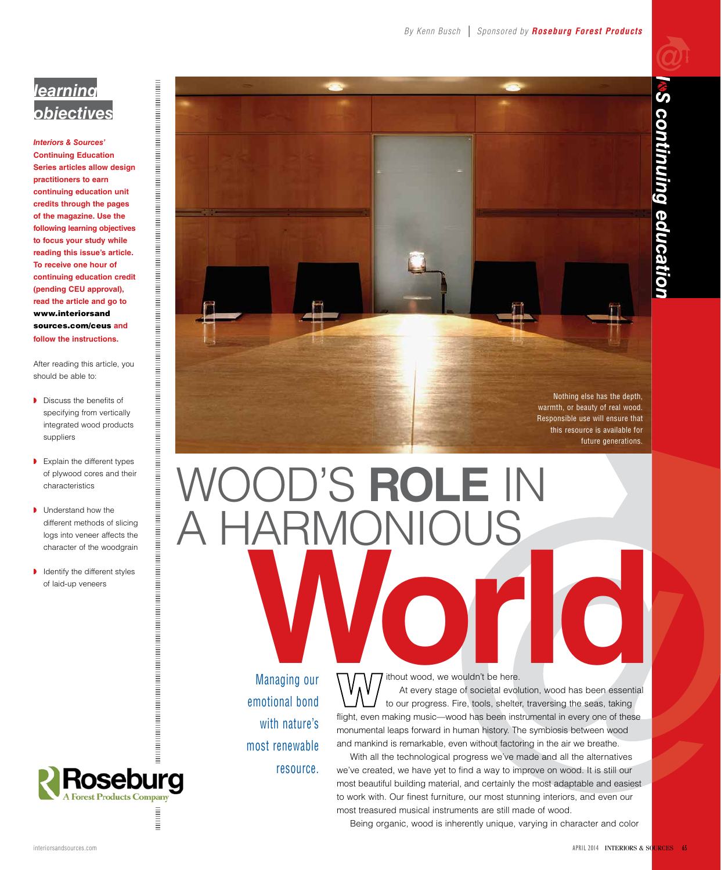## *learning objectives*

*Interiors & Sources'* **Continuing Education Series articles allow design practitioners to earn continuing education unit credits through the pages of the magazine. Use the following learning objectives to focus your study while reading this issue's article. To receive one hour of continuing education credit (pending CEU approval), read the article and go to** www.interiorsand sources.com/ceus **and follow the instructions.**

After reading this article, you should be able to:

◗ Discuss the benefits of specifying from vertically integrated wood products suppliers

- ◗ Explain the different types of plywood cores and their characteristics
- Understand how the different methods of slicing logs into veneer affects the character of the woodgrain
- ◗ Identify the different styles of laid-up veneers



# Wood's **Role** in **KNONIOUS** Managing our<br>Managing our<br>At every stage of societal evolution, wood has been essential

Managing our emotional bond with nature's most renewable resource. ithout wood, we wouldn't be here.

At every stage of societal evolution, wood has been essential to our progress. Fire, tools, shelter, traversing the seas, taking flight, even making music—wood has been instrumental in every one of these monumental leaps forward in human history. The symbiosis between wood and mankind is remarkable, even without factoring in the air we breathe.

With all the technological progress we've made and all the alternatives we've created, we have yet to find a way to improve on wood. It is still our most beautiful building material, and certainly the most adaptable and easiest to work with. Our finest furniture, our most stunning interiors, and even our most treasured musical instruments are still made of wood.

Being organic, wood is inherently unique, varying in character and color

Roseburg **Ext Products Company** 

**Contract**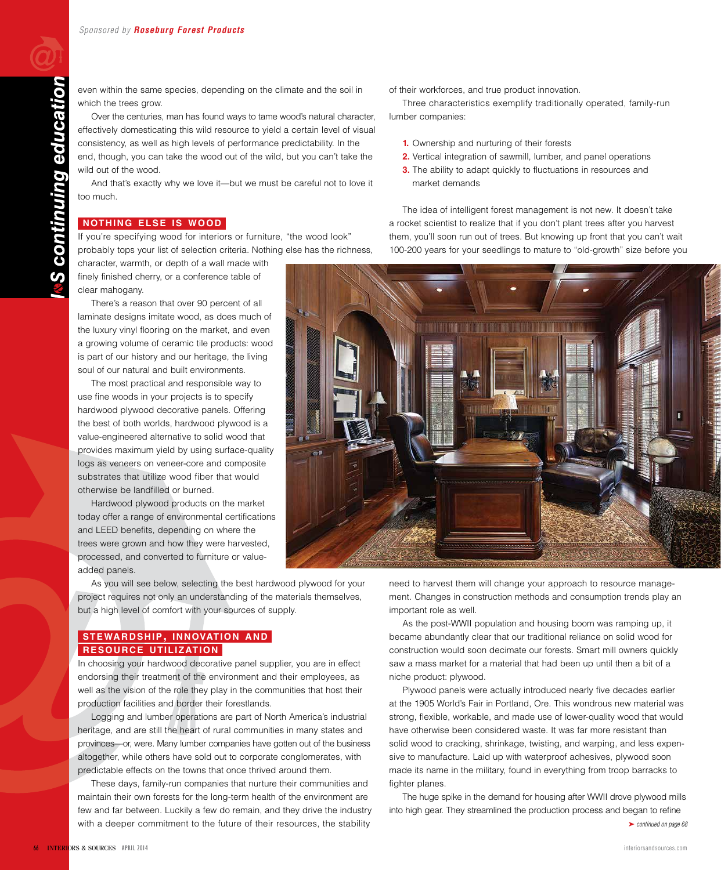even within the same species, depending on the climate and the soil in which the trees grow.

Over the centuries, man has found ways to tame wood's natural character, effectively domesticating this wild resource to yield a certain level of visual consistency, as well as high levels of performance predictability. In the end, though, you can take the wood out of the wild, but you can't take the wild out of the wood.

And that's exactly why we love it—but we must be careful not to love it too much.

#### **nothing else is wood**

If you're specifying wood for interiors or furniture, "the wood look" probably tops your list of selection criteria. Nothing else has the richness,

character, warmth, or depth of a wall made with finely finished cherry, or a conference table of clear mahogany.

There's a reason that over 90 percent of all laminate designs imitate wood, as does much of the luxury vinyl flooring on the market, and even a growing volume of ceramic tile products: wood is part of our history and our heritage, the living soul of our natural and built environments.

The most practical and responsible way to use fine woods in your projects is to specify hardwood plywood decorative panels. Offering the best of both worlds, hardwood plywood is a value-engineered alternative to solid wood that provides maximum yield by using surface-quality logs as veneers on veneer-core and composite substrates that utilize wood fiber that would otherwise be landfilled or burned.

Hardwood plywood products on the market today offer a range of environmental certifications and LEED benefits, depending on where the trees were grown and how they were harvested, processed, and converted to furniture or valueadded panels.

As you will see below, selecting the best hardwood plywood for your project requires not only an understanding of the materials themselves, but a high level of comfort with your sources of supply.

#### **stewardship, innovation and resource utilization**

In choosing your hardwood decorative panel supplier, you are in effect endorsing their treatment of the environment and their employees, as well as the vision of the role they play in the communities that host their production facilities and border their forestlands.

Logging and lumber operations are part of North America's industrial heritage, and are still the heart of rural communities in many states and provinces—or, were. Many lumber companies have gotten out of the business altogether, while others have sold out to corporate conglomerates, with predictable effects on the towns that once thrived around them.

These days, family-run companies that nurture their communities and maintain their own forests for the long-term health of the environment are few and far between. Luckily a few do remain, and they drive the industry with a deeper commitment to the future of their resources, the stability

of their workforces, and true product innovation.

Three characteristics exemplify traditionally operated, family-run lumber companies:

- **1.** Ownership and nurturing of their forests
- **2.** Vertical integration of sawmill, lumber, and panel operations
- **3.** The ability to adapt quickly to fluctuations in resources and market demands

The idea of intelligent forest management is not new. It doesn't take a rocket scientist to realize that if you don't plant trees after you harvest them, you'll soon run out of trees. But knowing up front that you can't wait 100-200 years for your seedlings to mature to "old-growth" size before you



need to harvest them will change your approach to resource management. Changes in construction methods and consumption trends play an important role as well.

As the post-WWII population and housing boom was ramping up, it became abundantly clear that our traditional reliance on solid wood for construction would soon decimate our forests. Smart mill owners quickly saw a mass market for a material that had been up until then a bit of a niche product: plywood.

Plywood panels were actually introduced nearly five decades earlier at the 1905 World's Fair in Portland, Ore. This wondrous new material was strong, flexible, workable, and made use of lower-quality wood that would have otherwise been considered waste. It was far more resistant than solid wood to cracking, shrinkage, twisting, and warping, and less expensive to manufacture. Laid up with waterproof adhesives, plywood soon made its name in the military, found in everything from troop barracks to fighter planes.

The huge spike in the demand for housing after WWII drove plywood mills into high gear. They streamlined the production process and began to refine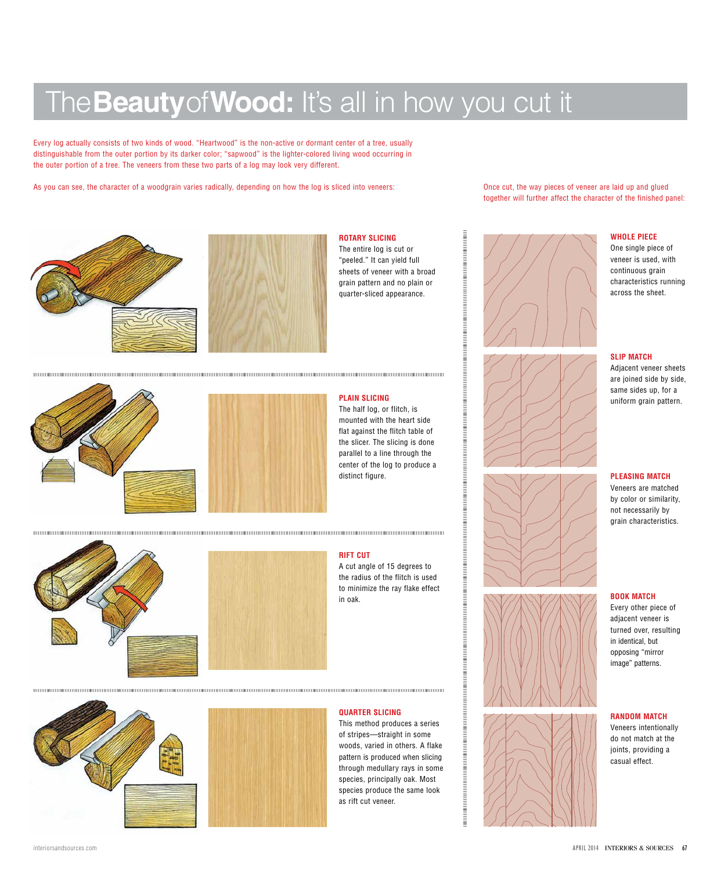# The**Beauty**of**Wood:** It's all in how you cut it

Every log actually consists of two kinds of wood. "Heartwood" is the non-active or dormant center of a tree, usually distinguishable from the outer portion by its darker color; "sapwood" is the lighter-colored living wood occurring in the outer portion of a tree. The veneers from these two parts of a log may look very different.

As you can see, the character of a woodgrain varies radically, depending on how the log is sliced into veneers:





#### **Rotary Slicing**  The entire log is cut or "peeled." It can yield full sheets of veneer with a broad grain pattern and no plain or

quarter-sliced appearance.





### **plain Slicing**

The half log, or flitch, is mounted with the heart side flat against the flitch table of the slicer. The slicing is done parallel to a line through the center of the log to produce a distinct figure.





#### **Rift Cut**

A cut angle of 15 degrees to the radius of the flitch is used to minimize the ray flake effect in oak.

#### 



#### **Quarter Slicing**

This method produces a series of stripes—straight in some woods, varied in others. A flake pattern is produced when slicing through medullary rays in some species, principally oak. Most species produce the same look as rift cut veneer.

Once cut, the way pieces of veneer are laid up and glued together will further affect the character of the finished panel:







#### **Whole Piece**

One single piece of veneer is used, with continuous grain characteristics running across the sheet.

#### **Slip Match**

Adjacent veneer sheets are joined side by side, same sides up, for a uniform grain pattern.

#### **Pleasing Match**

Veneers are matched by color or similarity, not necessarily by grain characteristics.

#### **Book Match**

Every other piece of adjacent veneer is turned over, resulting in identical, but opposing "mirror image" patterns.

#### **Random Match**

Veneers intentionally do not match at the joints, providing a casual effect.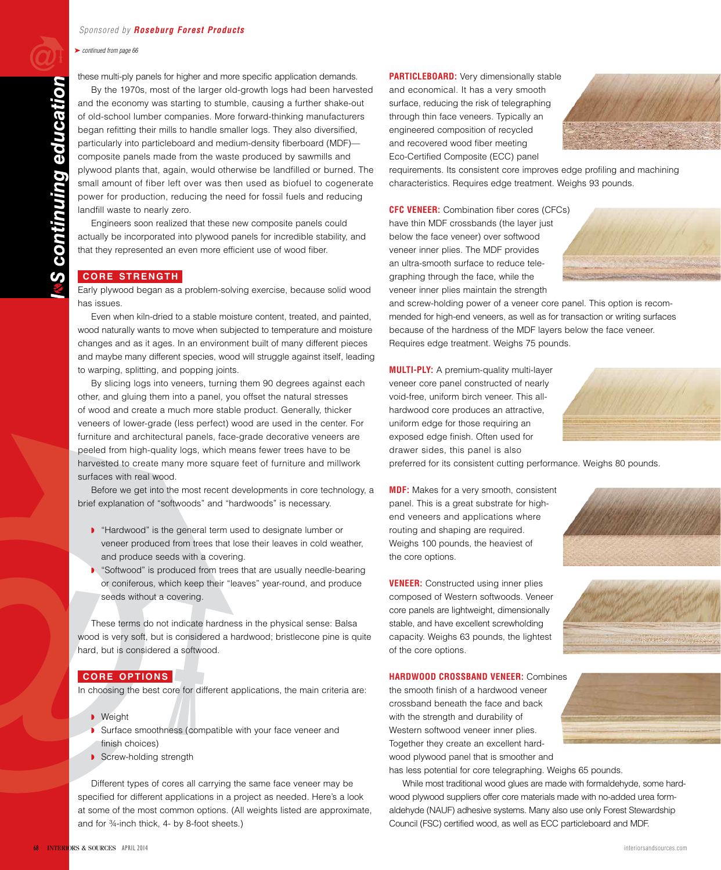➤ *continued from page 66*

these multi-ply panels for higher and more specific application demands.

By the 1970s, most of the larger old-growth logs had been harvested and the economy was starting to stumble, causing a further shake-out of old-school lumber companies. More forward-thinking manufacturers began refitting their mills to handle smaller logs. They also diversified, particularly into particleboard and medium-density fiberboard (MDF) composite panels made from the waste produced by sawmills and plywood plants that, again, would otherwise be landfilled or burned. The small amount of fiber left over was then used as biofuel to cogenerate power for production, reducing the need for fossil fuels and reducing landfill waste to nearly zero.

Engineers soon realized that these new composite panels could actually be incorporated into plywood panels for incredible stability, and that they represented an even more efficient use of wood fiber.

#### **core strength**

Early plywood began as a problem-solving exercise, because solid wood has issues.

Even when kiln-dried to a stable moisture content, treated, and painted, wood naturally wants to move when subjected to temperature and moisture changes and as it ages. In an environment built of many different pieces and maybe many different species, wood will struggle against itself, leading to warping, splitting, and popping joints.

By slicing logs into veneers, turning them 90 degrees against each other, and gluing them into a panel, you offset the natural stresses of wood and create a much more stable product. Generally, thicker veneers of lower-grade (less perfect) wood are used in the center. For furniture and architectural panels, face-grade decorative veneers are peeled from high-quality logs, which means fewer trees have to be harvested to create many more square feet of furniture and millwork surfaces with real wood.

Before we get into the most recent developments in core technology, a brief explanation of "softwoods" and "hardwoods" is necessary.

- ◗ "Hardwood" is the general term used to designate lumber or veneer produced from trees that lose their leaves in cold weather, and produce seeds with a covering.
- "Softwood" is produced from trees that are usually needle-bearing or coniferous, which keep their "leaves" year-round, and produce seeds without a covering.

These terms do not indicate hardness in the physical sense: Balsa wood is very soft, but is considered a hardwood; bristlecone pine is quite hard, but is considered a softwood.

#### **core options**

In choosing the best core for different applications, the main criteria are:

- Weight
- Surface smoothness (compatible with your face veneer and finish choices)
- Screw-holding strength

Different types of cores all carrying the same face veneer may be specified for different applications in a project as needed. Here's a look at some of the most common options. (All weights listed are approximate, and for ¾-inch thick, 4- by 8-foot sheets.)

**PARTICLEBOARD:** Very dimensionally stable and economical. It has a very smooth surface, reducing the risk of telegraphing through thin face veneers. Typically an engineered composition of recycled and recovered wood fiber meeting Eco-Certified Composite (ECC) panel



requirements. Its consistent core improves edge profiling and machining characteristics. Requires edge treatment. Weighs 93 pounds.

**CFC VENEER:** Combination fiber cores (CFCs) have thin MDF crossbands (the layer just below the face veneer) over softwood veneer inner plies. The MDF provides an ultra-smooth surface to reduce telegraphing through the face, while the veneer inner plies maintain the strength

and screw-holding power of a veneer core panel. This option is recommended for high-end veneers, as well as for transaction or writing surfaces because of the hardness of the MDF layers below the face veneer. Requires edge treatment. Weighs 75 pounds.

**Multi-Ply:** A premium-quality multi-layer veneer core panel constructed of nearly void-free, uniform birch veneer. This allhardwood core produces an attractive, uniform edge for those requiring an exposed edge finish. Often used for drawer sides, this panel is also



**MDF:** Makes for a very smooth, consistent panel. This is a great substrate for highend veneers and applications where routing and shaping are required. Weighs 100 pounds, the heaviest of the core options.

**VENEER:** Constructed using inner plies composed of Western softwoods. Veneer core panels are lightweight, dimensionally stable, and have excellent screwholding capacity. Weighs 63 pounds, the lightest of the core options.

**Hardwood Crossband Veneer:** Combines

the smooth finish of a hardwood veneer crossband beneath the face and back with the strength and durability of Western softwood veneer inner plies. Together they create an excellent hardwood plywood panel that is smoother and



has less potential for core telegraphing. Weighs 65 pounds.

While most traditional wood glues are made with formaldehyde, some hardwood plywood suppliers offer core materials made with no-added urea formaldehyde (NAUF) adhesive systems. Many also use only Forest Stewardship Council (FSC) certified wood, as well as ECC particleboard and MDF.



continuing education